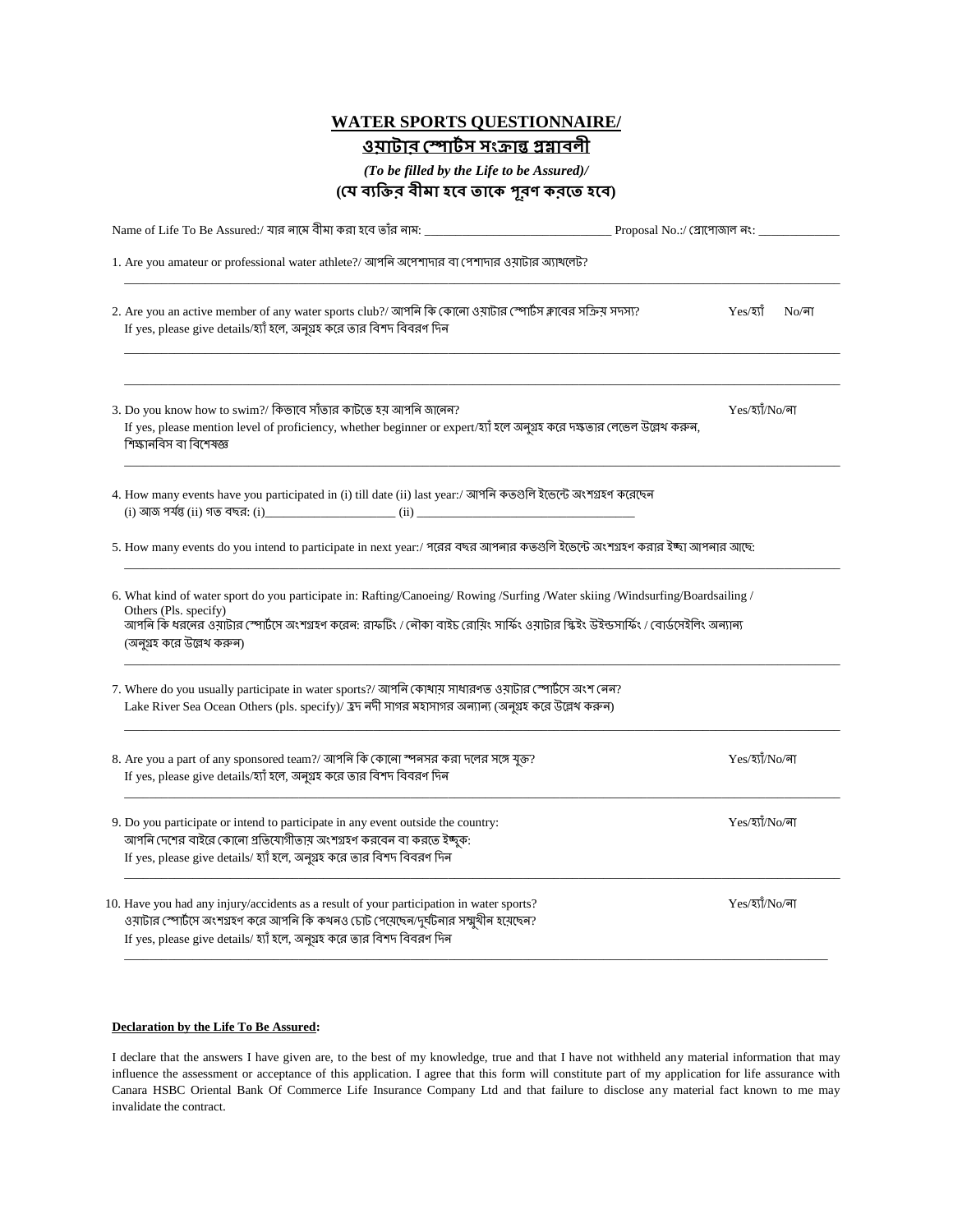## **WATER SPORTS QUESTIONNAIRE/** <u> ওয়াটার স্পোর্টস সংক্রান্ত প্রম্নাবলী</u>

*(To be filled by the Life to be Assured)/*

| (যে ব্যক্তির বীমা হবে তাকে পূরণ করতে হবে) |  |  |  |  |
|-------------------------------------------|--|--|--|--|
|                                           |  |  |  |  |

| Proposal No.:/ গ্লোপোজাল নং: _____ |                                                                                                                                                                                                                                                                                                                                                                                                                                                                                                                                                                                                                                                                                                                                                                                                                                                                                                                                                                                                                                                                               |  |  |
|------------------------------------|-------------------------------------------------------------------------------------------------------------------------------------------------------------------------------------------------------------------------------------------------------------------------------------------------------------------------------------------------------------------------------------------------------------------------------------------------------------------------------------------------------------------------------------------------------------------------------------------------------------------------------------------------------------------------------------------------------------------------------------------------------------------------------------------------------------------------------------------------------------------------------------------------------------------------------------------------------------------------------------------------------------------------------------------------------------------------------|--|--|
|                                    |                                                                                                                                                                                                                                                                                                                                                                                                                                                                                                                                                                                                                                                                                                                                                                                                                                                                                                                                                                                                                                                                               |  |  |
| $Yes/3$ র্যা                       | $No/\sqrt{a}$                                                                                                                                                                                                                                                                                                                                                                                                                                                                                                                                                                                                                                                                                                                                                                                                                                                                                                                                                                                                                                                                 |  |  |
| Yes/হ্যাঁ/No/না                    |                                                                                                                                                                                                                                                                                                                                                                                                                                                                                                                                                                                                                                                                                                                                                                                                                                                                                                                                                                                                                                                                               |  |  |
|                                    |                                                                                                                                                                                                                                                                                                                                                                                                                                                                                                                                                                                                                                                                                                                                                                                                                                                                                                                                                                                                                                                                               |  |  |
|                                    |                                                                                                                                                                                                                                                                                                                                                                                                                                                                                                                                                                                                                                                                                                                                                                                                                                                                                                                                                                                                                                                                               |  |  |
|                                    |                                                                                                                                                                                                                                                                                                                                                                                                                                                                                                                                                                                                                                                                                                                                                                                                                                                                                                                                                                                                                                                                               |  |  |
|                                    |                                                                                                                                                                                                                                                                                                                                                                                                                                                                                                                                                                                                                                                                                                                                                                                                                                                                                                                                                                                                                                                                               |  |  |
| Yes/হ্যাঁ/No/লা                    |                                                                                                                                                                                                                                                                                                                                                                                                                                                                                                                                                                                                                                                                                                                                                                                                                                                                                                                                                                                                                                                                               |  |  |
| Yes/হ্যাঁ/No/না                    |                                                                                                                                                                                                                                                                                                                                                                                                                                                                                                                                                                                                                                                                                                                                                                                                                                                                                                                                                                                                                                                                               |  |  |
| Yes/হ্যাঁ/No/না                    |                                                                                                                                                                                                                                                                                                                                                                                                                                                                                                                                                                                                                                                                                                                                                                                                                                                                                                                                                                                                                                                                               |  |  |
|                                    | 1. Are you amateur or professional water athlete?/ আপনি অপেশাদার বা পেশাদার ওয়াটার অ্যাথলেট?<br>2. Are you an active member of any water sports club?/ আপনি কি কোনো ওয়াটার স্পোর্টস ক্লাবের সক্রিয় সদস্য?<br>If yes, please mention level of proficiency, whether beginner or expert/হ্যাঁ হলে অনুগ্ৰহ করে দক্ষতার লেভেল উল্লেখ করুন,<br>4. How many events have you participated in (i) till date (ii) last year:/ আপনি কতগুলি ইভেন্টে অংশগ্ৰহণ করেছেন<br>5. How many events do you intend to participate in next year:/ পরের বছর আপনার কতগুলি ইভেন্টে অংশগ্রহণ করার ইচ্ছা আপনার আছে:<br>6. What kind of water sport do you participate in: Rafting/Canoeing/Rowing/Surfing/Water skiing/Windsurfing/Boardsailing/<br>আপনি কি ধরনের ওয়াটার স্পোর্টসে অংশগ্রহণ করেন: রাফটিং / নৌকা বাইচ রোয়িং সার্ফিং ওয়াটার স্কিইং উইন্ডসার্ফিং / বোর্ডসেইলিং অন্যান্য<br>7. Where do you usually participate in water sports?/ আপনি কোখায় সাধারণত ওয়াটার স্পোর্টসে অংশ নেন?<br>Lake River Sea Ocean Others (pls. specify)/ হ্রদ নদী সাগর মহাসাগর অন্যান্য (অনুগ্রহ করে উল্লেথ করুন) |  |  |

## **Declaration by the Life To Be Assured:**

I declare that the answers I have given are, to the best of my knowledge, true and that I have not withheld any material information that may influence the assessment or acceptance of this application. I agree that this form will constitute part of my application for life assurance with Canara HSBC Oriental Bank Of Commerce Life Insurance Company Ltd and that failure to disclose any material fact known to me may invalidate the contract.